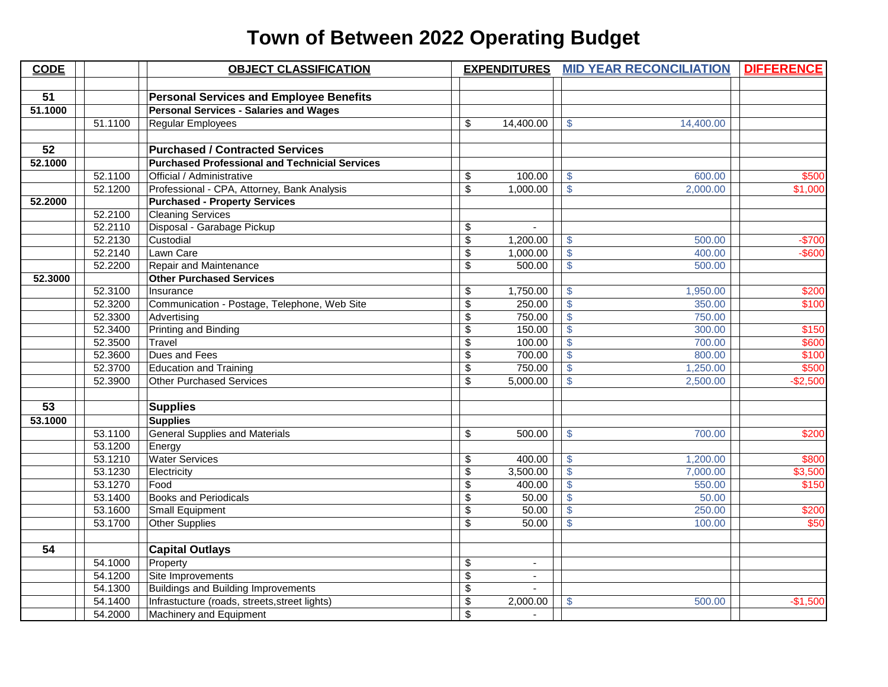## **Town of Between 2022 Operating Budget**

| <b>CODE</b> |         | <b>OBJECT CLASSIFICATION</b>                          | <b>EXPENDITURES</b>  |                           | <b>MID YEAR RECONCILIATION</b> | <b>DIFFERENCE</b> |
|-------------|---------|-------------------------------------------------------|----------------------|---------------------------|--------------------------------|-------------------|
|             |         |                                                       |                      |                           |                                |                   |
| 51          |         | <b>Personal Services and Employee Benefits</b>        |                      |                           |                                |                   |
| 51.1000     |         | <b>Personal Services - Salaries and Wages</b>         |                      |                           |                                |                   |
|             | 51.1100 | Regular Employees                                     | \$<br>14,400.00      | $\mathbb{S}$              | 14,400.00                      |                   |
|             |         |                                                       |                      |                           |                                |                   |
| 52          |         | <b>Purchased / Contracted Services</b>                |                      |                           |                                |                   |
| 52.1000     |         | <b>Purchased Professional and Technicial Services</b> |                      |                           |                                |                   |
|             | 52.1100 | Official / Administrative                             | \$<br>100.00         | $\mathcal{S}$             | 600.00                         | \$500             |
|             | 52.1200 | Professional - CPA, Attorney, Bank Analysis           | \$<br>1,000.00       | $\mathcal{S}$             | 2,000.00                       | \$1,000           |
| 52.2000     |         | <b>Purchased - Property Services</b>                  |                      |                           |                                |                   |
|             | 52.2100 | <b>Cleaning Services</b>                              |                      |                           |                                |                   |
|             | 52.2110 | Disposal - Garabage Pickup                            | \$                   |                           |                                |                   |
|             | 52.2130 | Custodial                                             | \$<br>1,200.00       | $\mathcal{S}$             | 500.00                         | $-$700$           |
|             | 52.2140 | Lawn Care                                             | \$<br>1,000.00       | $\sqrt[3]{5}$             | 400.00                         | $-$ \$600         |
|             | 52.2200 | <b>Repair and Maintenance</b>                         | \$<br>500.00         | $\mathsf{S}$              | 500.00                         |                   |
| 52.3000     |         | <b>Other Purchased Services</b>                       |                      |                           |                                |                   |
|             | 52.3100 | Insurance                                             | \$<br>1,750.00       | $\boldsymbol{\mathsf{S}}$ | 1,950.00                       | \$200             |
|             | 52.3200 | Communication - Postage, Telephone, Web Site          | \$<br>250.00         | $\sqrt{3}$                | 350.00                         | \$100             |
|             | 52.3300 | Advertising                                           | \$<br>750.00         | $\sqrt{3}$                | 750.00                         |                   |
|             | 52.3400 | <b>Printing and Binding</b>                           | \$<br>150.00         | $\mathbf{\hat{s}}$        | 300.00                         | \$150             |
|             | 52.3500 | Travel                                                | \$<br>100.00         | $\sqrt[6]{\frac{1}{2}}$   | 700.00                         | \$600             |
|             | 52.3600 | Dues and Fees                                         | \$<br>700.00         | $\overline{\mathcal{S}}$  | 800.00                         | \$100             |
|             | 52.3700 | <b>Education and Training</b>                         | \$<br>750.00         | $\sqrt[6]{\frac{1}{2}}$   | 1,250.00                       | \$500             |
|             | 52.3900 | <b>Other Purchased Services</b>                       | \$<br>5,000.00       | $\sqrt{3}$                | 2,500.00                       | $-$2,500$         |
|             |         |                                                       |                      |                           |                                |                   |
| 53          |         | <b>Supplies</b>                                       |                      |                           |                                |                   |
| 53.1000     |         | <b>Supplies</b>                                       |                      |                           |                                |                   |
|             | 53.1100 | <b>General Supplies and Materials</b>                 | \$<br>500.00         | $\mathcal{S}$             | 700.00                         | \$200             |
|             | 53.1200 | Energy                                                |                      |                           |                                |                   |
|             | 53.1210 | <b>Water Services</b>                                 | \$<br>400.00         | $\sqrt{3}$                | 1,200.00                       | \$800             |
|             | 53.1230 | Electricity                                           | \$<br>3,500.00       | $\sqrt{3}$                | 7,000.00                       | \$3,500           |
|             | 53.1270 | Food                                                  | \$<br>400.00         | $\overline{\mathcal{S}}$  | 550.00                         | \$150             |
|             | 53.1400 | <b>Books and Periodicals</b>                          | \$<br>50.00          | $\mathbb{S}$              | 50.00                          |                   |
|             | 53.1600 | Small Equipment                                       | \$<br>50.00          | $\sqrt{3}$                | 250.00                         | \$200             |
|             | 53.1700 | <b>Other Supplies</b>                                 | \$<br>50.00          | $\overline{\$}$           | 100.00                         | \$50              |
|             |         |                                                       |                      |                           |                                |                   |
| 54          |         | <b>Capital Outlays</b>                                |                      |                           |                                |                   |
|             | 54.1000 | Property                                              | \$                   |                           |                                |                   |
|             | 54.1200 | Site Improvements                                     | \$<br>$\blacksquare$ |                           |                                |                   |
|             | 54.1300 | <b>Buildings and Building Improvements</b>            | \$                   |                           |                                |                   |
|             | 54.1400 | Infrastucture (roads, streets, street lights)         | \$<br>2,000.00       | $\mathbb{S}$              | 500.00                         | $-$1,500$         |
|             | 54.2000 | Machinery and Equipment                               | \$                   |                           |                                |                   |